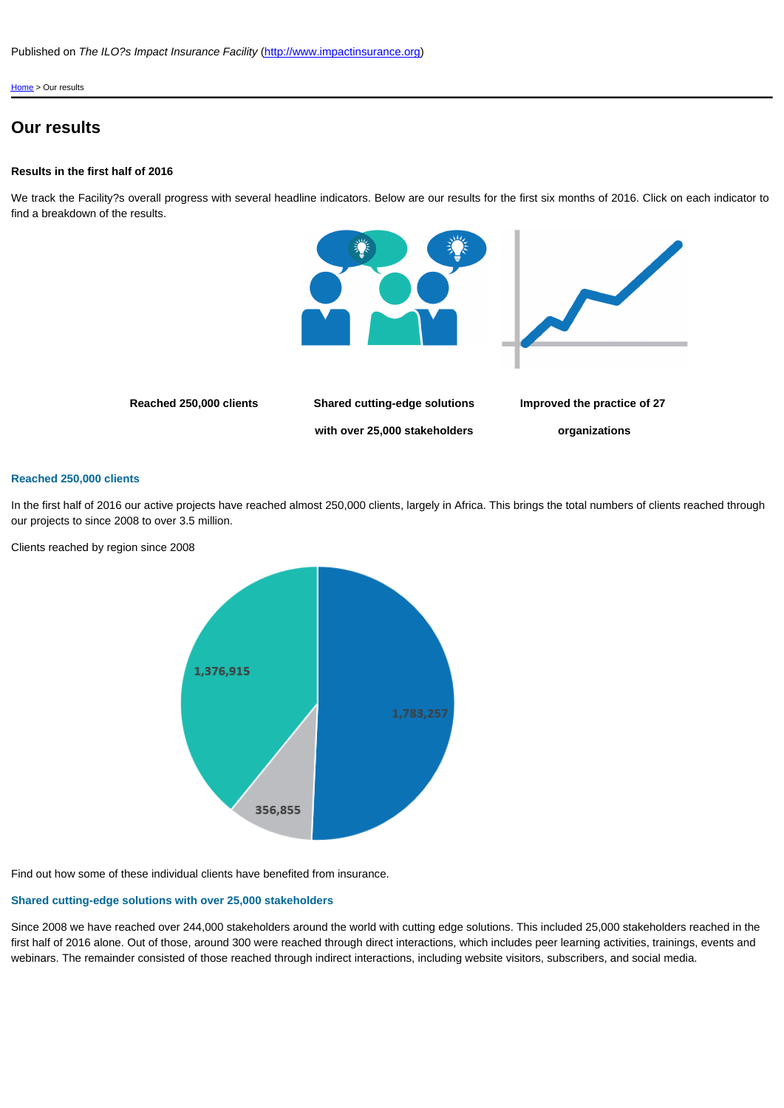Improved

[with over 25,000 stake](http://www.impactinsurance.org)holders

org

## Reached 250,000 clients

In the first half of 2016 our active projects have reached almost 250,000 clients, largely in Africa. This brings the t our projects to since 2008 to over 3.5 million.

Clients reached by region since 2008

Find out how some of these individual clients have benefited from insurance.

## Shared cutting-edge solutions with over 25,000 stakeholders

Since 2008 we have reached over 244,000 stakeholders around the world with cutting edge solutions. This includ first half of 2016 alone. Out of those, around 300 were reached through direct interactions, which includes peer le webinars. The remainder consisted of those reached through indirect interactions, including website visitors, subs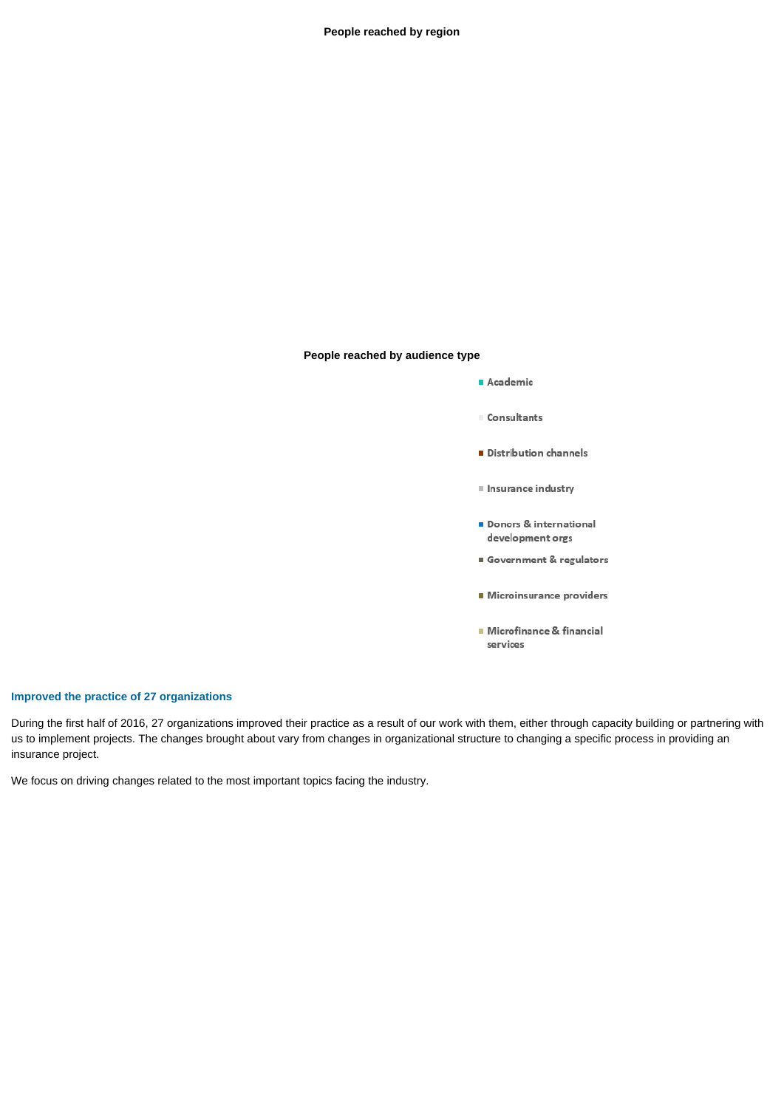**People reached by region**

**People reached by audience type**



## **Improved the practice of 27 organizations**

During the first half of 2016, 27 organizations improved their practice as a result of our work with them, either through capacity building or partnering with us to implement projects. The changes brought about vary from changes in organizational structure to changing a specific process in providing an insurance project.

We focus on driving changes related to the most important topics facing the industry.